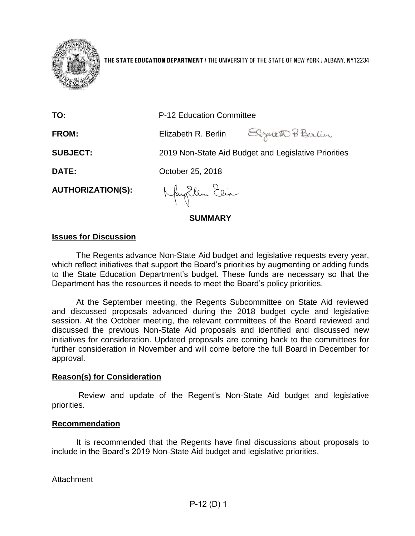

**THE STATE EDUCATION DEPARTMENT** / THE UNIVERSITY OF THE STATE OF NEW YORK / ALBANY, NY12234

| TO:                      | <b>P-12 Education Committee</b>                      |  |
|--------------------------|------------------------------------------------------|--|
| <b>FROM:</b>             | Elgalet Berlin<br>Elizabeth R. Berlin                |  |
| <b>SUBJECT:</b>          | 2019 Non-State Aid Budget and Legislative Priorities |  |
| <b>DATE:</b>             | October 25, 2018                                     |  |
| <b>AUTHORIZATION(S):</b> | Nayorlem Eeia                                        |  |
| <b>SUMMARY</b>           |                                                      |  |

## **Issues for Discussion**

The Regents advance Non-State Aid budget and legislative requests every year, which reflect initiatives that support the Board's priorities by augmenting or adding funds to the State Education Department's budget. These funds are necessary so that the Department has the resources it needs to meet the Board's policy priorities.

At the September meeting, the Regents Subcommittee on State Aid reviewed and discussed proposals advanced during the 2018 budget cycle and legislative session. At the October meeting, the relevant committees of the Board reviewed and discussed the previous Non-State Aid proposals and identified and discussed new initiatives for consideration. Updated proposals are coming back to the committees for further consideration in November and will come before the full Board in December for approval.

## **Reason(s) for Consideration**

Review and update of the Regent's Non-State Aid budget and legislative priorities.

#### **Recommendation**

It is recommended that the Regents have final discussions about proposals to include in the Board's 2019 Non-State Aid budget and legislative priorities.

**Attachment**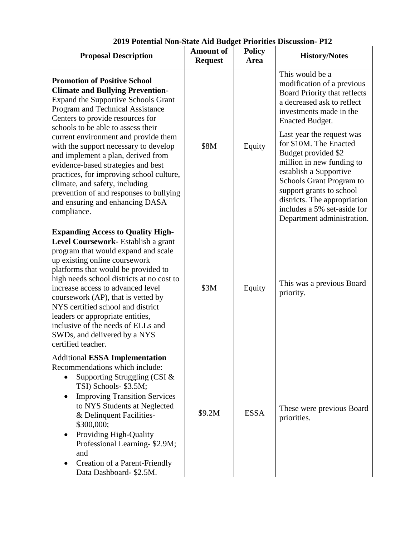| <b>Proposal Description</b>                                                                                                                                                                                                                                                                                                                                                                                                                                                                | <b>Amount of</b><br><b>Request</b> | <b>Policy</b><br><b>Area</b> | <b>History/Notes</b>                                                                                                                                                                                                                                                                           |
|--------------------------------------------------------------------------------------------------------------------------------------------------------------------------------------------------------------------------------------------------------------------------------------------------------------------------------------------------------------------------------------------------------------------------------------------------------------------------------------------|------------------------------------|------------------------------|------------------------------------------------------------------------------------------------------------------------------------------------------------------------------------------------------------------------------------------------------------------------------------------------|
| <b>Promotion of Positive School</b><br><b>Climate and Bullying Prevention-</b><br><b>Expand the Supportive Schools Grant</b><br>Program and Technical Assistance<br>Centers to provide resources for<br>schools to be able to assess their<br>current environment and provide them<br>with the support necessary to develop<br>and implement a plan, derived from<br>evidence-based strategies and best                                                                                    | \$8M                               | Equity                       | This would be a<br>modification of a previous<br>Board Priority that reflects<br>a decreased ask to reflect<br>investments made in the<br>Enacted Budget.<br>Last year the request was<br>for \$10M. The Enacted<br>Budget provided \$2<br>million in new funding to<br>establish a Supportive |
| practices, for improving school culture,<br>climate, and safety, including<br>prevention of and responses to bullying<br>and ensuring and enhancing DASA<br>compliance.                                                                                                                                                                                                                                                                                                                    |                                    |                              | Schools Grant Program to<br>support grants to school<br>districts. The appropriation<br>includes a 5% set-aside for<br>Department administration.                                                                                                                                              |
| <b>Expanding Access to Quality High-</b><br>Level Coursework-Establish a grant<br>program that would expand and scale<br>up existing online coursework<br>platforms that would be provided to<br>high needs school districts at no cost to<br>increase access to advanced level<br>coursework (AP), that is vetted by<br>NYS certified school and district<br>leaders or appropriate entities,<br>inclusive of the needs of ELLs and<br>SWDs, and delivered by a NYS<br>certified teacher. | \$3M                               | Equity                       | This was a previous Board<br>priority.                                                                                                                                                                                                                                                         |
| <b>Additional ESSA Implementation</b><br>Recommendations which include:<br>Supporting Struggling (CSI $&$<br>TSI) Schools- \$3.5M;<br><b>Improving Transition Services</b><br>to NYS Students at Neglected<br>& Delinquent Facilities-<br>\$300,000;<br>Providing High-Quality<br>Professional Learning-\$2.9M;<br>and<br><b>Creation of a Parent-Friendly</b><br>Data Dashboard- \$2.5M.                                                                                                  | \$9.2M                             | <b>ESSA</b>                  | These were previous Board<br>priorities.                                                                                                                                                                                                                                                       |

**2019 Potential Non-State Aid Budget Priorities Discussion- P12**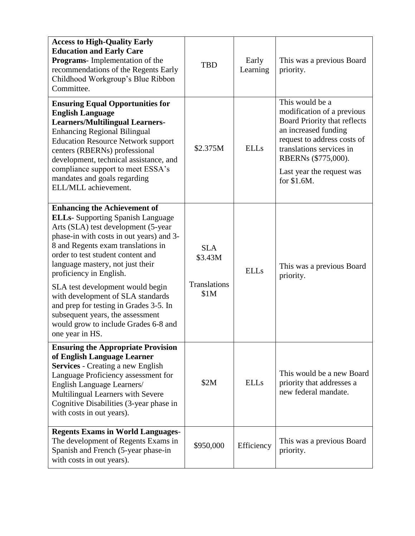| <b>Access to High-Quality Early</b><br><b>Education and Early Care</b><br><b>Programs</b> - Implementation of the<br>recommendations of the Regents Early<br>Childhood Workgroup's Blue Ribbon<br>Committee.                                                                                                                                                                                                                                                                                                                   | <b>TBD</b>                                    | Early<br>Learning | This was a previous Board<br>priority.                                                                                                                                                                                                     |
|--------------------------------------------------------------------------------------------------------------------------------------------------------------------------------------------------------------------------------------------------------------------------------------------------------------------------------------------------------------------------------------------------------------------------------------------------------------------------------------------------------------------------------|-----------------------------------------------|-------------------|--------------------------------------------------------------------------------------------------------------------------------------------------------------------------------------------------------------------------------------------|
| <b>Ensuring Equal Opportunities for</b><br><b>English Language</b><br><b>Learners/Multilingual Learners-</b><br><b>Enhancing Regional Bilingual</b><br><b>Education Resource Network support</b><br>centers (RBERNs) professional<br>development, technical assistance, and<br>compliance support to meet ESSA's<br>mandates and goals regarding<br>ELL/MLL achievement.                                                                                                                                                       | \$2.375M                                      | <b>ELLs</b>       | This would be a<br>modification of a previous<br><b>Board Priority that reflects</b><br>an increased funding<br>request to address costs of<br>translations services in<br>RBERNs (\$775,000).<br>Last year the request was<br>for \$1.6M. |
| <b>Enhancing the Achievement of</b><br><b>ELLs-</b> Supporting Spanish Language<br>Arts (SLA) test development (5-year<br>phase-in with costs in out years) and 3-<br>8 and Regents exam translations in<br>order to test student content and<br>language mastery, not just their<br>proficiency in English.<br>SLA test development would begin<br>with development of SLA standards<br>and prep for testing in Grades 3-5. In<br>subsequent years, the assessment<br>would grow to include Grades 6-8 and<br>one year in HS. | <b>SLA</b><br>\$3.43M<br>Translations<br>\$1M | <b>ELLs</b>       | This was a previous Board<br>priority.                                                                                                                                                                                                     |
| <b>Ensuring the Appropriate Provision</b><br>of English Language Learner<br><b>Services</b> - Creating a new English<br>Language Proficiency assessment for<br>English Language Learners/<br>Multilingual Learners with Severe<br>Cognitive Disabilities (3-year phase in<br>with costs in out years).                                                                                                                                                                                                                         | \$2M                                          | <b>ELLs</b>       | This would be a new Board<br>priority that addresses a<br>new federal mandate.                                                                                                                                                             |
| <b>Regents Exams in World Languages-</b><br>The development of Regents Exams in<br>Spanish and French (5-year phase-in<br>with costs in out years).                                                                                                                                                                                                                                                                                                                                                                            | \$950,000                                     | Efficiency        | This was a previous Board<br>priority.                                                                                                                                                                                                     |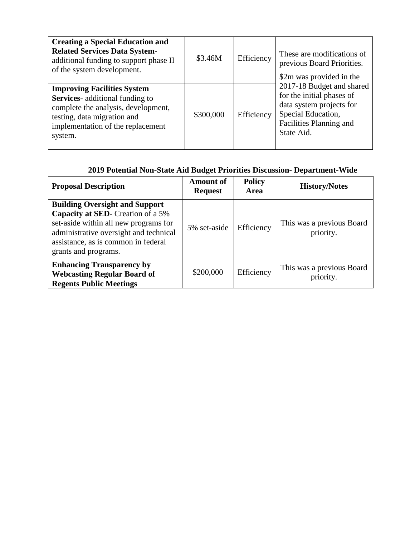| <b>Creating a Special Education and</b><br><b>Related Services Data System-</b><br>additional funding to support phase II<br>of the system development.                                            | \$3.46M   | Efficiency | These are modifications of<br>previous Board Priorities.<br>\$2m was provided in the                                                              |
|----------------------------------------------------------------------------------------------------------------------------------------------------------------------------------------------------|-----------|------------|---------------------------------------------------------------------------------------------------------------------------------------------------|
| <b>Improving Facilities System</b><br><b>Services-</b> additional funding to<br>complete the analysis, development,<br>testing, data migration and<br>implementation of the replacement<br>system. | \$300,000 | Efficiency | 2017-18 Budget and shared<br>for the initial phases of<br>data system projects for<br>Special Education,<br>Facilities Planning and<br>State Aid. |

# **2019 Potential Non-State Aid Budget Priorities Discussion- Department-Wide**

| <b>Proposal Description</b>                                                                                                                                                                                                          | <b>Amount of</b><br><b>Request</b> | <b>Policy</b><br>Area | <b>History/Notes</b>                   |
|--------------------------------------------------------------------------------------------------------------------------------------------------------------------------------------------------------------------------------------|------------------------------------|-----------------------|----------------------------------------|
| <b>Building Oversight and Support</b><br><b>Capacity at SED</b> - Creation of a 5%<br>set-aside within all new programs for<br>administrative oversight and technical<br>assistance, as is common in federal<br>grants and programs. | 5% set-aside                       | Efficiency            | This was a previous Board<br>priority. |
| <b>Enhancing Transparency by</b><br><b>Webcasting Regular Board of</b><br><b>Regents Public Meetings</b>                                                                                                                             | \$200,000                          | Efficiency            | This was a previous Board<br>priority. |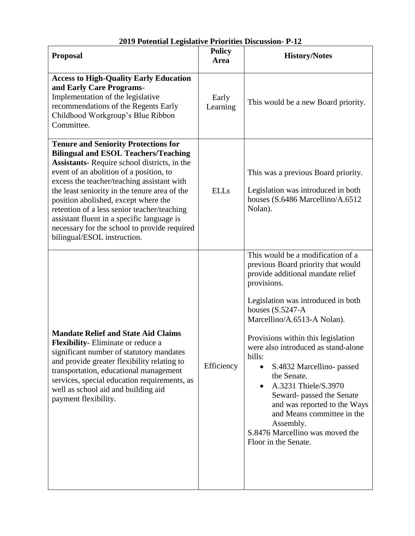| <b>Proposal</b>                                                                                                                                                                                                                                                                                                                                                                                                                                                                                                 | <b>Policy</b><br>Area | <b>History/Notes</b>                                                                                                                                                                                                                                                                                                                                                                                                                                                                                                                                                            |  |
|-----------------------------------------------------------------------------------------------------------------------------------------------------------------------------------------------------------------------------------------------------------------------------------------------------------------------------------------------------------------------------------------------------------------------------------------------------------------------------------------------------------------|-----------------------|---------------------------------------------------------------------------------------------------------------------------------------------------------------------------------------------------------------------------------------------------------------------------------------------------------------------------------------------------------------------------------------------------------------------------------------------------------------------------------------------------------------------------------------------------------------------------------|--|
| <b>Access to High-Quality Early Education</b><br>and Early Care Programs-<br>Implementation of the legislative<br>recommendations of the Regents Early<br>Childhood Workgroup's Blue Ribbon<br>Committee.                                                                                                                                                                                                                                                                                                       | Early<br>Learning     | This would be a new Board priority.                                                                                                                                                                                                                                                                                                                                                                                                                                                                                                                                             |  |
| <b>Tenure and Seniority Protections for</b><br><b>Bilingual and ESOL Teachers/Teaching</b><br><b>Assistants</b> -Require school districts, in the<br>event of an abolition of a position, to<br>excess the teacher/teaching assistant with<br>the least seniority in the tenure area of the<br>position abolished, except where the<br>retention of a less senior teacher/teaching<br>assistant fluent in a specific language is<br>necessary for the school to provide required<br>bilingual/ESOL instruction. | <b>ELLs</b>           | This was a previous Board priority.<br>Legislation was introduced in both<br>houses (S.6486 Marcellino/A.6512<br>Nolan).                                                                                                                                                                                                                                                                                                                                                                                                                                                        |  |
| <b>Mandate Relief and State Aid Claims</b><br>Flexibility-Eliminate or reduce a<br>significant number of statutory mandates<br>and provide greater flexibility relating to<br>transportation, educational management<br>services, special education requirements, as<br>well as school aid and building aid<br>payment flexibility.                                                                                                                                                                             | Efficiency            | This would be a modification of a<br>previous Board priority that would<br>provide additional mandate relief<br>provisions.<br>Legislation was introduced in both<br>houses $(S.5247-A)$<br>Marcellino/A.6513-A Nolan).<br>Provisions within this legislation<br>were also introduced as stand-alone<br>bills:<br>S.4832 Marcellino- passed<br>$\bullet$<br>the Senate.<br>A.3231 Thiele/S.3970<br>$\bullet$<br>Seward- passed the Senate<br>and was reported to the Ways<br>and Means committee in the<br>Assembly.<br>S.8476 Marcellino was moved the<br>Floor in the Senate. |  |

# **2019 Potential Legislative Priorities Discussion- P-12**